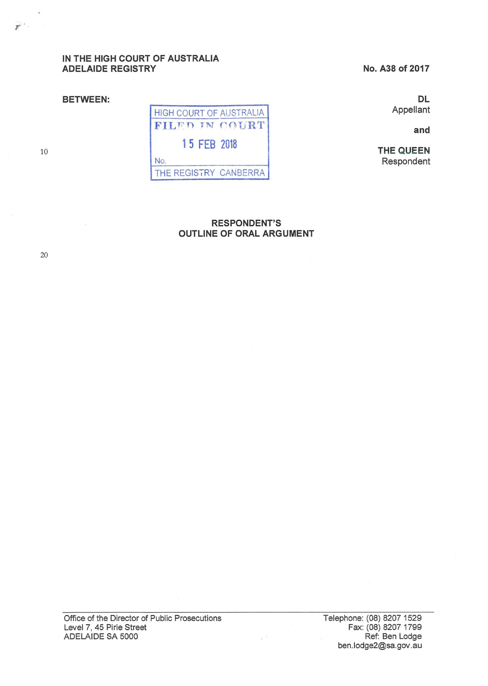# **IN THE HIGH COURT OF AUSTRALIA ADELAIDE REGISTRY**

**BETWEEN:** 

**No. A38 of 2017** 

**DL**  Appellant

**and** 

**THE QUEEN**  Respondent

HIGH COURT OF AUSTRALIA FILED IN COURT **1 5 FEB 2018**  No. THE REGISTRY CANBERRA

# **RESPONDENT'S OUTLINE OF ORAL ARGUMENT**

 $\omega^{-2}$ 

20

10

*r* 

 $\langle \hat{\phi} \rangle$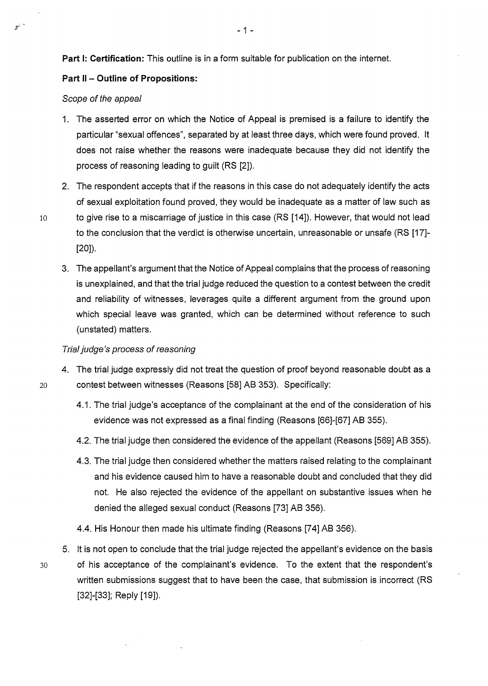**Part 1: Certification:** This outline is in a form suitable for publication on the internet.

# **Part 11 - Outline of Propositions:**

### Scope of the appeal

- 1. The asserted error on which the Notice of Appeal is premised is a failure to identify the particular "sexual offences", separated by at least three days, which were found proved. lt does not raise whether the reasons were inadequate because they did not identify the process of reasoning leading to guilt (RS [2]).
- 2. The respondent accepts that if the reasons in this case do not adequately identify the acts of sexual exploitation found proved, they would be inadequate as a matter of law such as 10 to give rise to a miscarriage of justice in this case (RS [14]). However, that would not lead to the conclusion that the verdict is otherwise uncertain, unreasonable or unsafe (RS [17]- [20]).
	- 3. The appellant's argument that the Notice of Appeal complains that the process of reasoning is unexplained, and that the trial judge reduced the question to a contest between the credit and reliability of witnesses, leverages quite a different argument from the ground upon which special leave was granted, which can be determined without reference to such (unstated) matters.

### Trial judge's process of reasoning

- 4. The trial judge expressly did not treat the question of proof beyond reasonable doubt as a 20 contest between witnesses (Reasons [58] AB 353). Specifically:
	- 4.1. The trial judge's acceptance of the complainant at the end of the consideration of his evidence was not expressed as a final finding (Reasons [66]-[67] AB 355).
	- 4.2. The trial judge then considered the evidence of the appellant (Reasons [569] AB 355).
	- 4.3. The trial judge then considered whether the matters raised relating to the complainant and his evidence caused him to have a reasonable doubt and concluded that they did not. He also rejected the evidence of the appellant on substantive issues when he denied the alleged sexual conduct (Reasons [73] AB 356).
	- 4.4. His Honour then made his ultimate finding (Reasons [74] AB 356).
- 5. lt is not open to conclude that the trial judge rejected the appellant's evidence on the basis 30 of his acceptance of the complainant's evidence. To the extent that the respondent's written submissions suggest that to have been the case, that submission is incorrect (RS [32]-[33]; Reply [19]).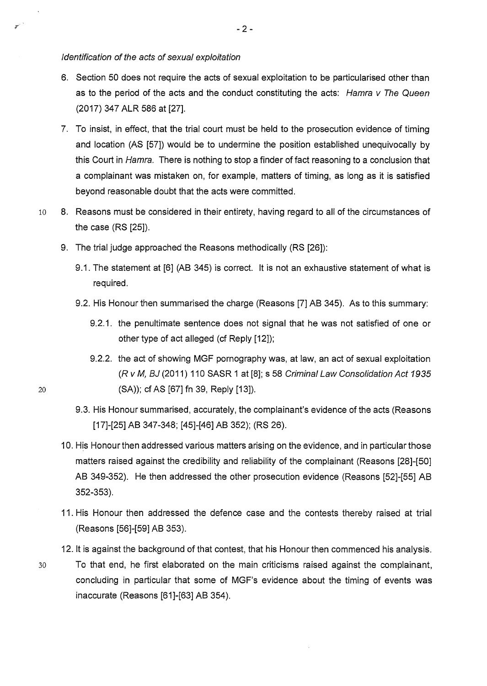#### Identification of the acts of sexual exploitation

- 6. Section 50 does not require the acts of sexual exploitation to be particularised other than as to the period of the acts and the conduct constituting the acts: Hamra v The Queen (2017) 347 ALR 586 at [27].
- 7. To insist, in effect, that the trial court must be held to the prosecution evidence of timing and location (AS [57]) would be to undermine the position established unequivocally by this Court in Hamra. There is nothing to stop a finder of fact reasoning to a conclusion that a complainant was mistaken on, for example, matters of timing, as long as it is satisfied beyond reasonable doubt that the acts were committed.
- 10 8. Reasons must be considered in their entirety, having regard to all of the circumstances of the case (RS [25]).
	- 9. The trial judge approached the Reasons methodically (RS [26]):
		- 9.1. The statement at [6] (AB 345) is correct. lt is not an exhaustive statement of what is required.
		- 9.2. His Honour then summarised the charge (Reasons [7] AB 345). As to this summary:
			- 9.2.1. the penultimate sentence does not signal that he was not satisfied of one or other type of act alleged (cf Reply [12]);
- 9.2.2. the act of showing MGF pornography was, at law, an act of sexual exploitation (R v M, BJ (2011) 110 SASR 1 at [8]; s 58 Criminal Law Consolidation Act 1935 20 (SA)); cf AS [67] fn 39, Reply [13]).
	- 9.3. His Honour summarised, accurately, the complainant's evidence of the acts (Reasons [17]-[25] AB 347-348; [45]-[46] AB 352); (RS 26).
	- 10. His Honour then addressed various matters arising on the evidence, and in particular those matters raised against the credibility and reliability of the complainant (Reasons [28]-[50] AB 349-352). He then addressed the other prosecution evidence (Reasons [52]-[55] AB 352-353).
	- 11. His Honour then addressed the defence case and the contests thereby raised at trial (Reasons [56]-[59] AB 353).
	- 12. lt is against the background of that contest, that his Honour then commenced his analysis.
- 30 To that end, he first elaborated on the main criticisms raised against the complainant, concluding in particular that some of MGF's evidence about the timing of events was inaccurate (Reasons [61]-[63] AB 354).